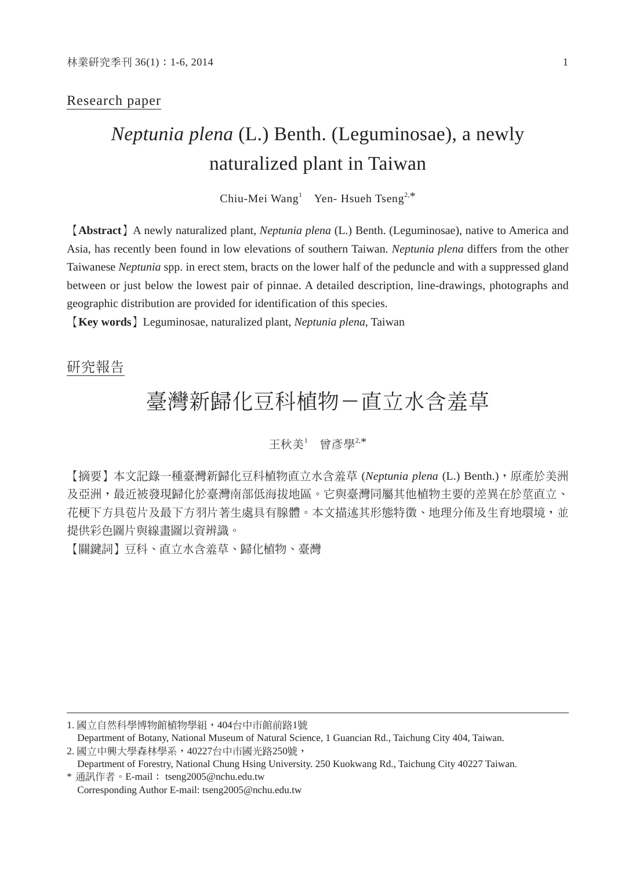#### Research paper

# *Neptunia plena* (L.) Benth. (Leguminosae), a newly naturalized plant in Taiwan

Chiu-Mei Wang<sup>1</sup> Yen- Hsueh Tseng<sup>2,\*</sup>

【**Abstract**】A newly naturalized plant, *Neptunia plena* (L.) Benth. (Leguminosae), native to America and Asia, has recently been found in low elevations of southern Taiwan. *Neptunia plena* differs from the other Taiwanese *Neptunia* spp. in erect stem, bracts on the lower half of the peduncle and with a suppressed gland between or just below the lowest pair of pinnae. A detailed description, line-drawings, photographs and geographic distribution are provided for identification of this species.

【**Key words**】Leguminosae, naturalized plant, *Neptunia plena*, Taiwan

# 研究報告

# 臺灣新歸化豆科植物-直立水含羞草

### 王秋美<sup>1</sup> 曾彥學<sup>2,\*</sup>

【摘要】本文記錄一種臺灣新歸化豆科植物直立水含羞草 (*Neptunia plena* (L.) Benth.),原產於美洲 及亞洲,最近被發現歸化於臺灣南部低海拔地區。它與臺灣同屬其他植物主要的差異在於莖直立、 花梗下方具苞片及最下方羽片著生處具有腺體。本文描述其形態特徵、地理分佈及生育地環境,並 提供彩色圖片與線畫圖以資辨識。

【關鍵詞】豆科、直立水含羞草、歸化植物、臺灣

<sup>1.</sup> 國立自然科學博物館植物學組,404台中市館前路1號 Department of Botany, National Museum of Natural Science, 1 Guancian Rd., Taichung City 404, Taiwan. 2. 國立中興大學森林學系,40227台中市國光路250號,

Department of Forestry, National Chung Hsing University. 250 Kuokwang Rd., Taichung City 40227 Taiwan. \* 通訊作者。E-mail: tseng2005@nchu.edu.tw

Corresponding Author E-mail: tseng2005@nchu.edu.tw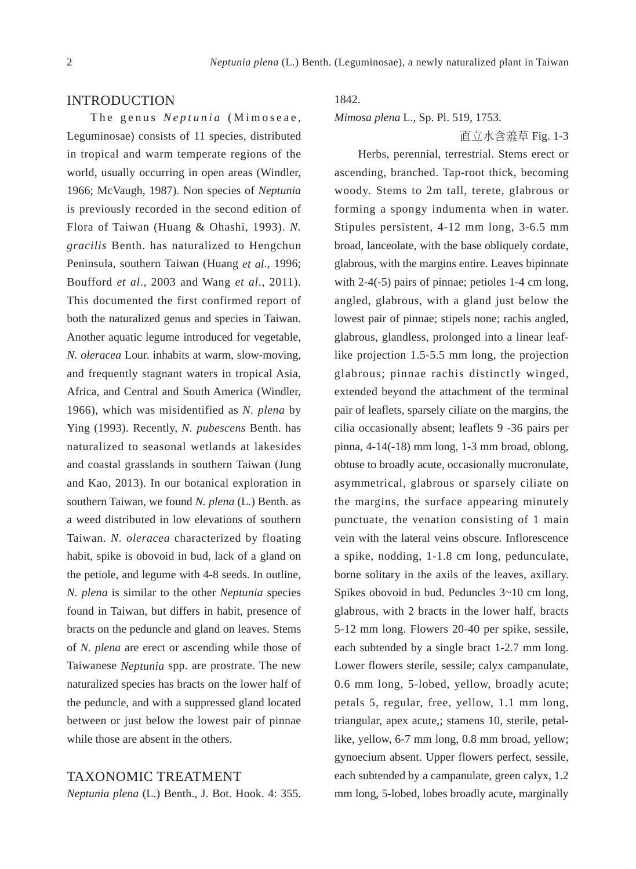#### INTRODUCTION

The genus *Neptunia* (Mimoseae, Leguminosae) consists of 11 species, distributed in tropical and warm temperate regions of the world, usually occurring in open areas (Windler, 1966; McVaugh, 1987). Non species of *Neptunia*  is previously recorded in the second edition of Flora of Taiwan (Huang & Ohashi, 1993). *N. gracilis* Benth. has naturalized to Hengchun Peninsula, southern Taiwan (Huang *et al*., 1996; Boufford *et al*., 2003 and Wang *et al*., 2011). This documented the first confirmed report of both the naturalized genus and species in Taiwan. Another aquatic legume introduced for vegetable, *N. oleracea* Lour. inhabits at warm, slow-moving, and frequently stagnant waters in tropical Asia, Africa, and Central and South America (Windler, 1966), which was misidentified as *N. plena* by Ying (1993). Recently, *N. pubescens* Benth. has naturalized to seasonal wetlands at lakesides and coastal grasslands in southern Taiwan (Jung and Kao, 2013). In our botanical exploration in southern Taiwan, we found *N. plena* (L.) Benth. as a weed distributed in low elevations of southern Taiwan. *N. oleracea* characterized by floating habit, spike is obovoid in bud, lack of a gland on the petiole, and legume with 4-8 seeds. In outline, *N. plena* is similar to the other *Neptunia* species found in Taiwan, but differs in habit, presence of bracts on the peduncle and gland on leaves. Stems of *N. plena* are erect or ascending while those of Taiwanese *Neptunia* spp. are prostrate. The new naturalized species has bracts on the lower half of the peduncle, and with a suppressed gland located between or just below the lowest pair of pinnae while those are absent in the others.

### TAXONOMIC TREATMENT

*Neptunia plena* (L.) Benth., J. Bot. Hook. 4: 355.

## 1842.

*Mimosa plena* L., Sp. Pl. 519, 1753.

直立水含羞草 Fig. 1-3

Herbs, perennial, terrestrial. Stems erect or ascending, branched. Tap-root thick, becoming woody. Stems to 2m tall, terete, glabrous or forming a spongy indumenta when in water. Stipules persistent, 4-12 mm long, 3-6.5 mm broad, lanceolate, with the base obliquely cordate, glabrous, with the margins entire. Leaves bipinnate with 2-4(-5) pairs of pinnae; petioles 1-4 cm long, angled, glabrous, with a gland just below the lowest pair of pinnae; stipels none; rachis angled, glabrous, glandless, prolonged into a linear leaflike projection 1.5-5.5 mm long, the projection glabrous; pinnae rachis distinctly winged, extended beyond the attachment of the terminal pair of leaflets, sparsely ciliate on the margins, the cilia occasionally absent; leaflets 9 -36 pairs per pinna, 4-14(-18) mm long, 1-3 mm broad, oblong, obtuse to broadly acute, occasionally mucronulate, asymmetrical, glabrous or sparsely ciliate on the margins, the surface appearing minutely punctuate, the venation consisting of 1 main vein with the lateral veins obscure. Inflorescence a spike, nodding, 1-1.8 cm long, pedunculate, borne solitary in the axils of the leaves, axillary. Spikes obovoid in bud. Peduncles 3~10 cm long, glabrous, with 2 bracts in the lower half, bracts 5-12 mm long. Flowers 20-40 per spike, sessile, each subtended by a single bract 1-2.7 mm long. Lower flowers sterile, sessile; calyx campanulate, 0.6 mm long, 5-lobed, yellow, broadly acute; petals 5, regular, free, yellow, 1.1 mm long, triangular, apex acute,; stamens 10, sterile, petallike, yellow, 6-7 mm long, 0.8 mm broad, yellow; gynoecium absent. Upper flowers perfect, sessile, each subtended by a campanulate, green calyx, 1.2 mm long, 5-lobed, lobes broadly acute, marginally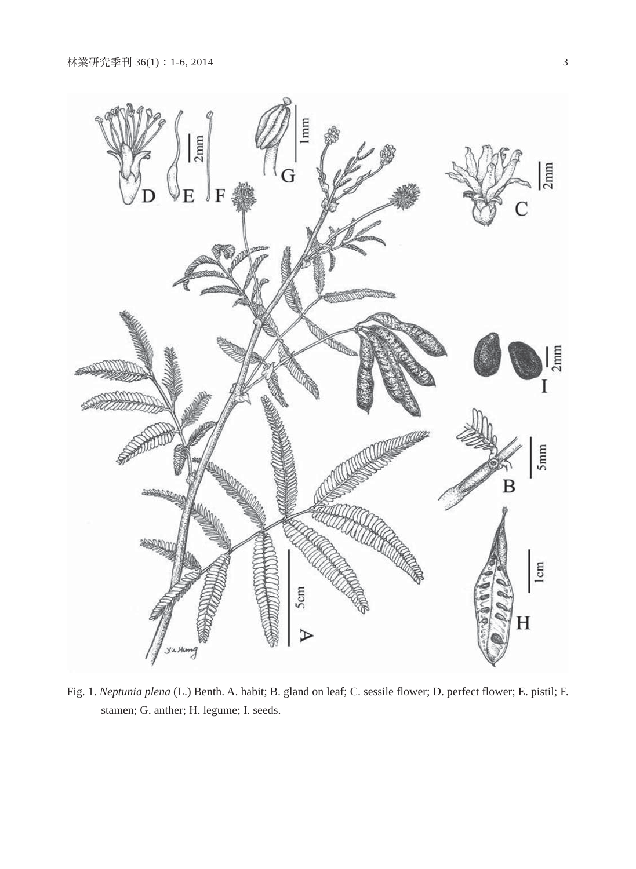

Fig. 1. *Neptunia plena* (L.) Benth. A. habit; B. gland on leaf; C. sessile flower; D. perfect flower; E. pistil; F. stamen; G. anther; H. legume; I. seeds.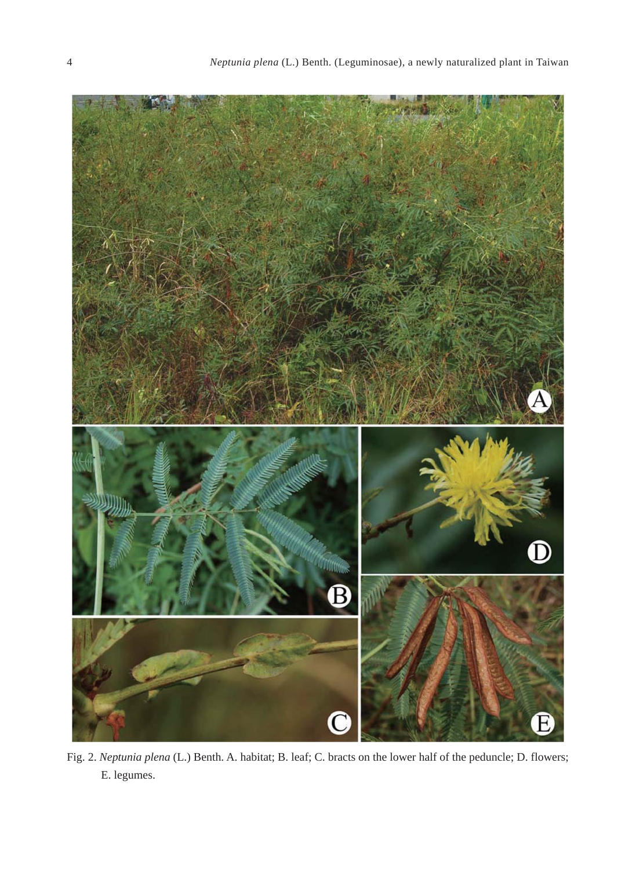

Fig. 2. *Neptunia plena* (L.) Benth. A. habitat; B. leaf; C. bracts on the lower half of the peduncle; D. flowers; E. legumes.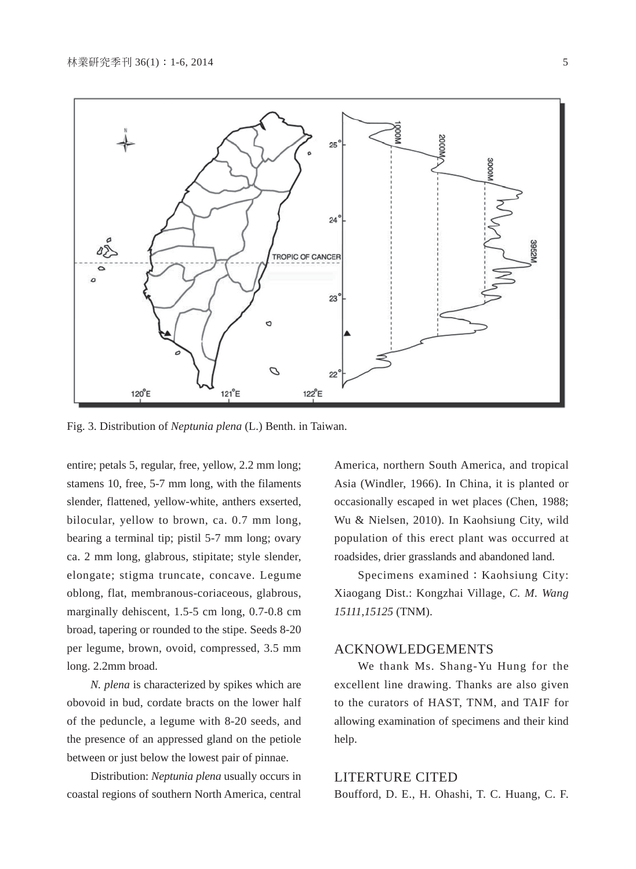

Fig. 3. Distribution of *Neptunia plena* (L.) Benth. in Taiwan.

entire; petals 5, regular, free, yellow, 2.2 mm long; stamens 10, free, 5-7 mm long, with the filaments slender, flattened, yellow-white, anthers exserted, bilocular, yellow to brown, ca. 0.7 mm long, bearing a terminal tip; pistil 5-7 mm long; ovary ca. 2 mm long, glabrous, stipitate; style slender, elongate; stigma truncate, concave. Legume oblong, flat, membranous-coriaceous, glabrous, marginally dehiscent, 1.5-5 cm long, 0.7-0.8 cm broad, tapering or rounded to the stipe. Seeds 8-20 per legume, brown, ovoid, compressed, 3.5 mm long. 2.2mm broad.

*N. plena* is characterized by spikes which are obovoid in bud, cordate bracts on the lower half of the peduncle, a legume with 8-20 seeds, and the presence of an appressed gland on the petiole between or just below the lowest pair of pinnae.

Distribution: *Neptunia plena* usually occurs in coastal regions of southern North America, central

America, northern South America, and tropical Asia (Windler, 1966). In China, it is planted or occasionally escaped in wet places (Chen, 1988; Wu & Nielsen, 2010). In Kaohsiung City, wild population of this erect plant was occurred at roadsides, drier grasslands and abandoned land.

Specimens examined: Kaohsiung City: Xiaogang Dist.: Kongzhai Village, *C. M. Wang 15111,15125* (TNM).

#### ACKNOWLEDGEMENTS

We thank Ms. Shang-Yu Hung for the excellent line drawing. Thanks are also given to the curators of HAST, TNM, and TAIF for allowing examination of specimens and their kind help.

#### LITERTURE CITED

Boufford, D. E., H. Ohashi, T. C. Huang, C. F.